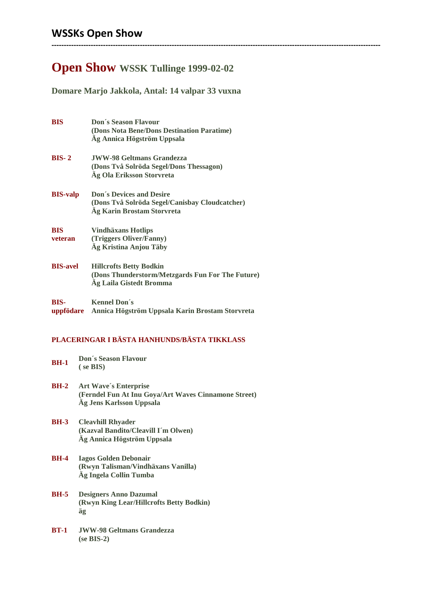## **Open Show WSSK Tullinge 1999-02-02**

**--------------------------------------------------------------------------------------------------------------------------------------**

### **Domare Marjo Jakkola, Antal: 14 valpar 33 vuxna**

| <b>BIS</b>               | <b>Don's Season Flavour</b><br>(Dons Nota Bene/Dons Destination Paratime)<br>Ag Annica Högström Uppsala         |
|--------------------------|-----------------------------------------------------------------------------------------------------------------|
| $BIS-2$                  | <b>JWW-98 Geltmans Grandezza</b><br>(Dons Två Solröda Segel/Dons Thessagon)<br>Äg Ola Eriksson Storvreta        |
| <b>BIS-valp</b>          | <b>Don's Devices and Desire</b><br>(Dons Två Solröda Segel/Canisbay Cloudcatcher)<br>Äg Karin Brostam Storvreta |
| <b>BIS</b><br>veteran    | <b>Vindhäxans Hotlips</b><br>(Triggers Oliver/Fanny)<br>Äg Kristina Anjou Täby                                  |
| <b>BIS-avel</b>          | <b>Hillcrofts Betty Bodkin</b><br>(Dons Thunderstorm/Metzgards Fun For The Future)<br>Ag Laila Gistedt Bromma   |
| <b>BIS-</b><br>uppfödare | <b>Kennel Don's</b><br>Annica Högström Uppsala Karin Brostam Storvreta                                          |

#### **PLACERINGAR I BÄSTA HANHUNDS/BÄSTA TIKKLASS**

| BH-1 | <b>Don's Season Flavour</b> |
|------|-----------------------------|
|      | $($ se BIS $)$              |

- **BH-2 Art Wave´s Enterprise (Ferndel Fun At Inu Goya/Art Waves Cinnamone Street) Äg Jens Karlsson Uppsala**
- **BH-3 Cleavhill Rhyader (Kazval Bandito/Cleavill I´m Olwen) Äg Annica Högström Uppsala**

#### **BH-4 Iagos Golden Debonair (Rwyn Talisman/Vindhäxans Vanilla) Äg Ingela Collin Tumba**

- **BH-5 Designers Anno Dazumal (Rwyn King Lear/Hillcrofts Betty Bodkin) äg**
- **BT-1 JWW-98 Geltmans Grandezza (se BIS-2)**